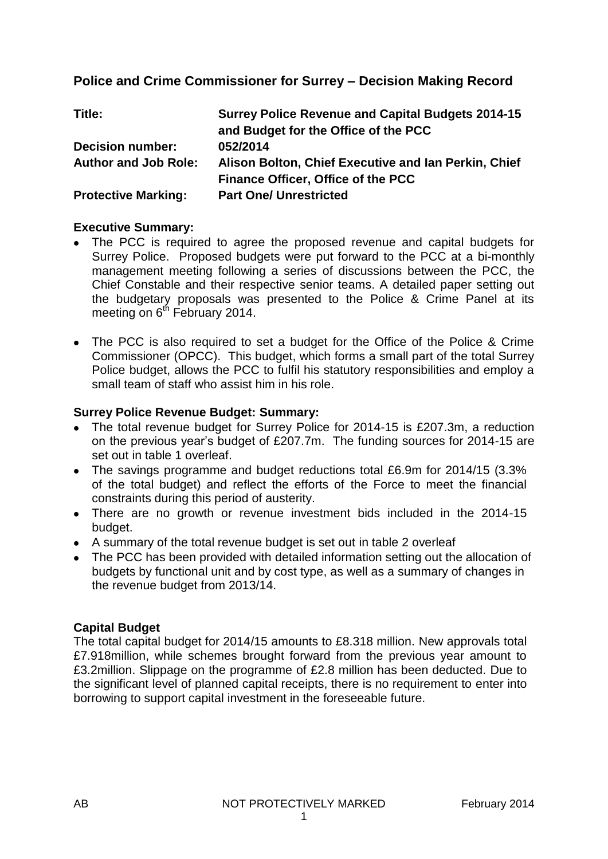## **Police and Crime Commissioner for Surrey – Decision Making Record**

| Title:                      | <b>Surrey Police Revenue and Capital Budgets 2014-15</b><br>and Budget for the Office of the PCC |
|-----------------------------|--------------------------------------------------------------------------------------------------|
| <b>Decision number:</b>     | 052/2014                                                                                         |
| <b>Author and Job Role:</b> | Alison Bolton, Chief Executive and Ian Perkin, Chief                                             |
|                             | Finance Officer, Office of the PCC                                                               |
| <b>Protective Marking:</b>  | <b>Part One/ Unrestricted</b>                                                                    |

#### **Executive Summary:**

- The PCC is required to agree the proposed revenue and capital budgets for Surrey Police. Proposed budgets were put forward to the PCC at a bi-monthly management meeting following a series of discussions between the PCC, the Chief Constable and their respective senior teams. A detailed paper setting out the budgetary proposals was presented to the Police & Crime Panel at its meeting on  $6<sup>th</sup>$  February 2014.
- The PCC is also required to set a budget for the Office of the Police & Crime Commissioner (OPCC). This budget, which forms a small part of the total Surrey Police budget, allows the PCC to fulfil his statutory responsibilities and employ a small team of staff who assist him in his role.

#### **Surrey Police Revenue Budget: Summary:**

- The total revenue budget for Surrey Police for 2014-15 is £207.3m, a reduction on the previous year's budget of £207.7m. The funding sources for 2014-15 are set out in table 1 overleaf.
- The savings programme and budget reductions total £6.9m for 2014/15 (3.3% of the total budget) and reflect the efforts of the Force to meet the financial constraints during this period of austerity.
- There are no growth or revenue investment bids included in the 2014-15 budget.
- A summary of the total revenue budget is set out in table 2 overleaf
- The PCC has been provided with detailed information setting out the allocation of budgets by functional unit and by cost type, as well as a summary of changes in the revenue budget from 2013/14.

#### **Capital Budget**

The total capital budget for 2014/15 amounts to £8.318 million. New approvals total £7.918million, while schemes brought forward from the previous year amount to £3.2million. Slippage on the programme of £2.8 million has been deducted. Due to the significant level of planned capital receipts, there is no requirement to enter into borrowing to support capital investment in the foreseeable future.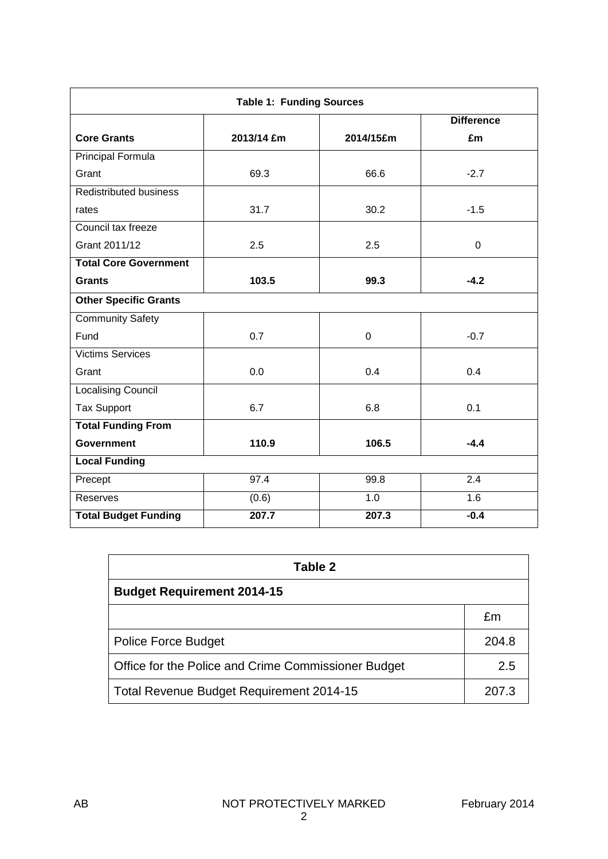| <b>Table 1: Funding Sources</b> |            |             |                   |  |
|---------------------------------|------------|-------------|-------------------|--|
|                                 |            |             | <b>Difference</b> |  |
| <b>Core Grants</b>              | 2013/14 £m | 2014/15£m   | £m                |  |
| Principal Formula               |            |             |                   |  |
| Grant                           | 69.3       | 66.6        | $-2.7$            |  |
| <b>Redistributed business</b>   |            |             |                   |  |
| rates                           | 31.7       | 30.2        | $-1.5$            |  |
| Council tax freeze              |            |             |                   |  |
| Grant 2011/12                   | 2.5        | 2.5         | $\mathbf 0$       |  |
| <b>Total Core Government</b>    |            |             |                   |  |
| <b>Grants</b>                   | 103.5      | 99.3        | $-4.2$            |  |
| <b>Other Specific Grants</b>    |            |             |                   |  |
| <b>Community Safety</b>         |            |             |                   |  |
| Fund                            | 0.7        | $\mathbf 0$ | $-0.7$            |  |
| <b>Victims Services</b>         |            |             |                   |  |
| Grant                           | 0.0        | 0.4         | 0.4               |  |
| <b>Localising Council</b>       |            |             |                   |  |
| <b>Tax Support</b>              | 6.7        | 6.8         | 0.1               |  |
| <b>Total Funding From</b>       |            |             |                   |  |
| <b>Government</b>               | 110.9      | 106.5       | $-4.4$            |  |
| <b>Local Funding</b>            |            |             |                   |  |
| Precept                         | 97.4       | 99.8        | 2.4               |  |
| Reserves                        | (0.6)      | 1.0         | 1.6               |  |
| <b>Total Budget Funding</b>     | 207.7      | 207.3       | $-0.4$            |  |

| <b>Table 2</b>                                      |       |  |  |
|-----------------------------------------------------|-------|--|--|
| <b>Budget Requirement 2014-15</b>                   |       |  |  |
|                                                     | £m    |  |  |
| <b>Police Force Budget</b>                          | 204.8 |  |  |
| Office for the Police and Crime Commissioner Budget | 2.5   |  |  |
| <b>Total Revenue Budget Requirement 2014-15</b>     | 207.3 |  |  |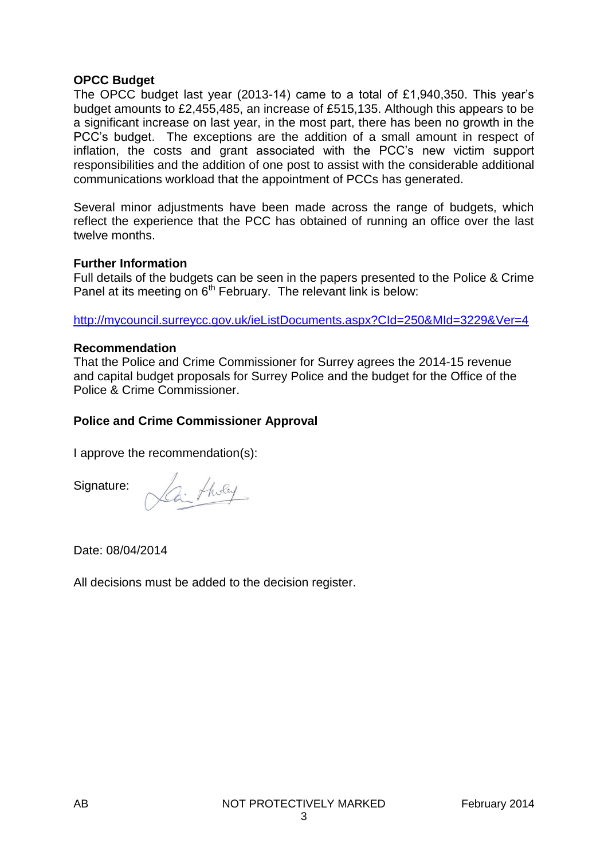#### **OPCC Budget**

The OPCC budget last year (2013-14) came to a total of £1,940,350. This year's budget amounts to £2,455,485, an increase of £515,135. Although this appears to be a significant increase on last year, in the most part, there has been no growth in the PCC's budget. The exceptions are the addition of a small amount in respect of inflation, the costs and grant associated with the PCC's new victim support responsibilities and the addition of one post to assist with the considerable additional communications workload that the appointment of PCCs has generated.

Several minor adjustments have been made across the range of budgets, which reflect the experience that the PCC has obtained of running an office over the last twelve months.

#### **Further Information**

Full details of the budgets can be seen in the papers presented to the Police & Crime Panel at its meeting on  $6<sup>th</sup>$  February. The relevant link is below:

<http://mycouncil.surreycc.gov.uk/ieListDocuments.aspx?CId=250&MId=3229&Ver=4>

#### **Recommendation**

That the Police and Crime Commissioner for Surrey agrees the 2014-15 revenue and capital budget proposals for Surrey Police and the budget for the Office of the Police & Crime Commissioner.

#### **Police and Crime Commissioner Approval**

I approve the recommendation(s):

Signature:

2. tholey

Date: 08/04/2014

All decisions must be added to the decision register.